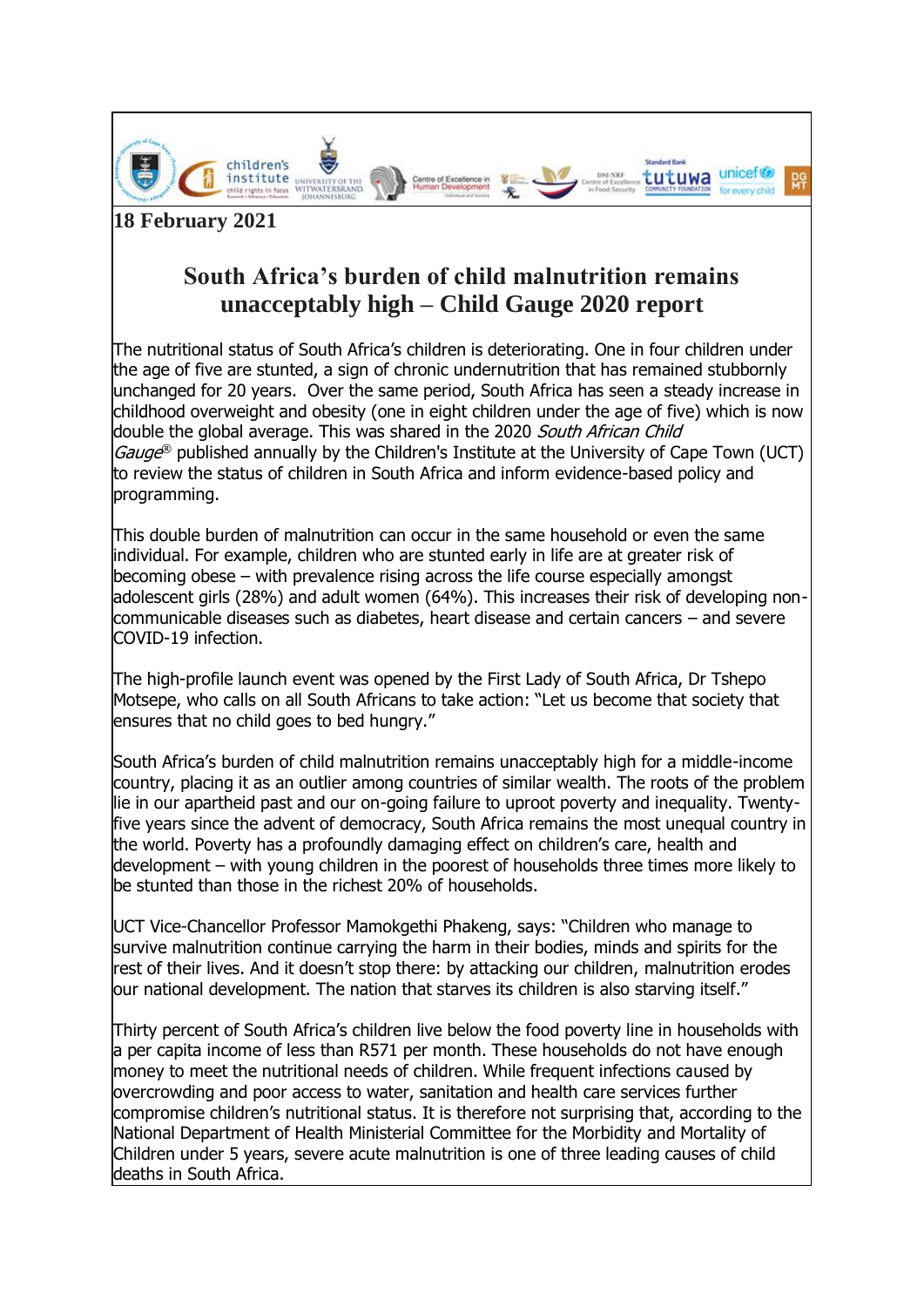

**18 February 2021**

# **South Africa's burden of child malnutrition remains unacceptably high – Child Gauge 2020 report**

The nutritional status of South Africa's children is deteriorating. One in four children under the age of five are stunted, a sign of chronic undernutrition that has remained stubbornly unchanged for 20 years. Over the same period, South Africa has seen a steady increase in childhood overweight and obesity (one in eight children under the age of five) which is now double the global average. This was shared in the 2020 [South African](http://www.ci.uct.ac.za/cg-2020-food-and-nutrition-security) Child [Gauge](http://www.ci.uct.ac.za/cg-2020-food-and-nutrition-security)<sup>®</sup> published annually by the Children's Institute at the University of Cape Town (UCT) to review the status of children in South Africa and inform evidence-based policy and programming.

This double burden of malnutrition can occur in the same household or even the same individual. For example, children who are stunted early in life are at greater risk of becoming obese – with prevalence rising across the life course especially amongst adolescent girls (28%) and adult women (64%). This increases their risk of developing noncommunicable diseases such as diabetes, heart disease and certain cancers – and severe COVID-19 infection.

The high-profile launch event was opened by the First Lady of South Africa, Dr Tshepo Motsepe, who calls on all South Africans to take action: "Let us become that society that ensures that no child goes to bed hungry."

South Africa's burden of child malnutrition remains unacceptably high for a middle-income country, placing it as an outlier among countries of similar wealth. The roots of the problem lie in our apartheid past and our on-going failure to uproot poverty and inequality. Twentyfive years since the advent of democracy, South Africa remains the most unequal country in the world. Poverty has a profoundly damaging effect on children's care, health and development – with young children in the poorest of households three times more likely to be stunted than those in the richest 20% of households.

UCT Vice-Chancellor Professor Mamokgethi Phakeng, says: "Children who manage to survive malnutrition continue carrying the harm in their bodies, minds and spirits for the rest of their lives. And it doesn't stop there: by attacking our children, malnutrition erodes our national development. The nation that starves its children is also starving itself."

Thirty percent of South Africa's children live below the food poverty line in households with a per capita income of less than R571 per month. These households do not have enough money to meet the nutritional needs of children. While frequent infections caused by overcrowding and poor access to water, sanitation and health care services further compromise children's nutritional status. It is therefore not surprising that, according to the National Department of Health Ministerial Committee for the Morbidity and Mortality of Children under 5 years, severe acute malnutrition is one of three leading causes of child deaths in South Africa.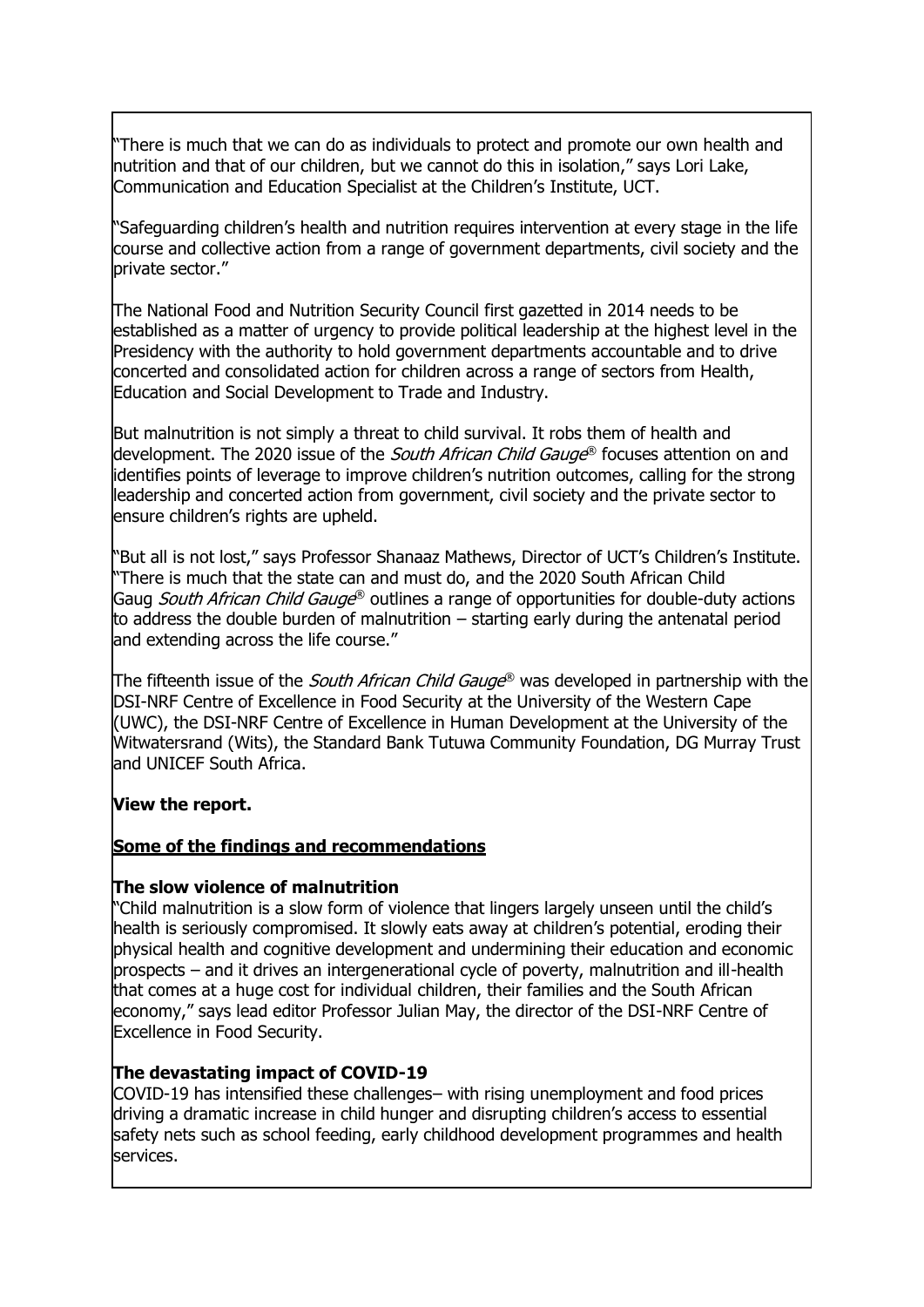"There is much that we can do as individuals to protect and promote our own health and nutrition and that of our children, but we cannot do this in isolation," says Lori Lake, Communication and Education Specialist at the Children's Institute, UCT.

"Safeguarding children's health and nutrition requires intervention at every stage in the life course and collective action from a range of government departments, civil society and the private sector."

The National Food and Nutrition Security Council first gazetted in 2014 needs to be established as a matter of urgency to provide political leadership at the highest level in the Presidency with the authority to hold government departments accountable and to drive concerted and consolidated action for children across a range of sectors from Health, Education and Social Development to Trade and Industry.

But malnutrition is not simply a threat to child survival. It robs them of health and development. The 2020 issue of the *South African Child Gauge*® focuses attention on and identifies points of leverage to improve children's nutrition outcomes, calling for the strong leadership and concerted action from government, civil society and the private sector to ensure children's rights are upheld.

"But all is not lost," says Professor Shanaaz Mathews, Director of UCT's Children's Institute. "There is much that the state can and must do, and the 2020 South African Child Gaug South African Child Gauge® outlines a range of opportunities for double-duty actions to address the double burden of malnutrition – starting early during the antenatal period and extending across the life course."

The fifteenth issue of the *South African Child Gauge*® was developed in partnership with the DSI-NRF Centre of Excellence in Food Security at the University of the Western Cape (UWC), the DSI-NRF Centre of Excellence in Human Development at the University of the Witwatersrand (Wits), the Standard Bank Tutuwa Community Foundation, DG Murray Trust and UNICEF South Africa.

## **[View the report.](http://www.ci.uct.ac.za/cg-2020-food-and-nutrition-security)**

## **Some of the findings and recommendations**

### **The slow violence of malnutrition**

"Child malnutrition is a slow form of violence that lingers largely unseen until the child's health is seriously compromised. It slowly eats away at children's potential, eroding their physical health and cognitive development and undermining their education and economic prospects – and it drives an intergenerational cycle of poverty, malnutrition and ill-health that comes at a huge cost for individual children, their families and the South African economy," says lead editor Professor Julian May, the director of the DSI-NRF Centre of Excellence in Food Security.

## **The devastating impact of COVID-19**

COVID-19 has intensified these challenges– with rising unemployment and food prices driving a dramatic increase in child hunger and disrupting children's access to essential safety nets such as school feeding, early childhood development programmes and health services.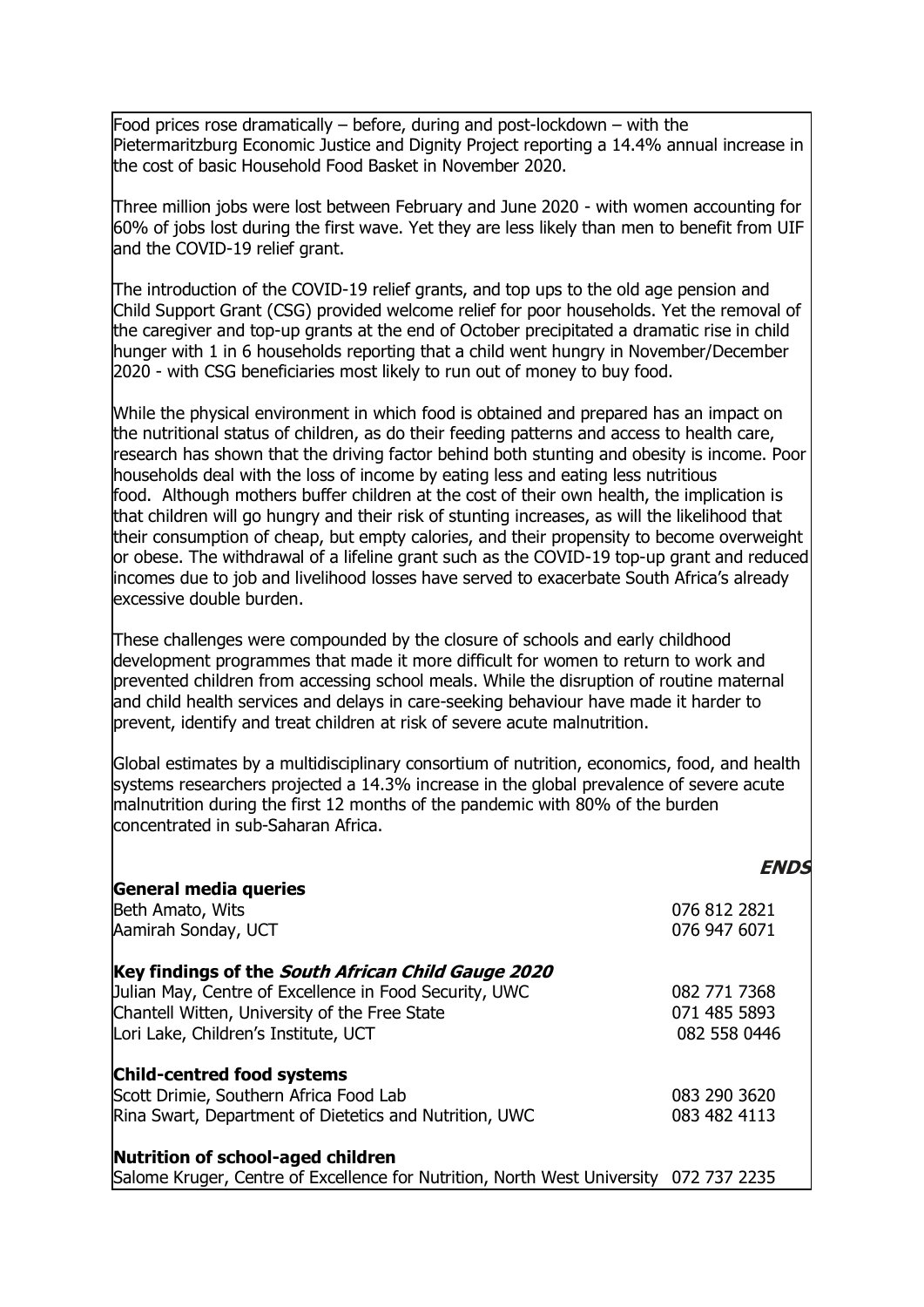Food prices rose dramatically – before, during and post-lockdown – with the Pietermaritzburg Economic Justice and Dignity Project reporting a 14.4% annual increase in the cost of basic Household Food Basket in November 2020.

Three million jobs were lost between February and June 2020 - with women accounting for 60% of jobs lost during the first wave. Yet they are less likely than men to benefit from UIF and the COVID-19 relief grant.

The introduction of the COVID-19 relief grants, and top ups to the old age pension and Child Support Grant (CSG) provided welcome relief for poor households. Yet the removal of the caregiver and top-up grants at the end of October precipitated a dramatic rise in child hunger with 1 in 6 households reporting that a child went hungry in November/December 2020 - with CSG beneficiaries most likely to run out of money to buy food.

While the physical environment in which food is obtained and prepared has an impact on the nutritional status of children, as do their feeding patterns and access to health care, research has shown that the driving factor behind both stunting and obesity is income. Poor households deal with the loss of income by eating less and eating less nutritious food. Although mothers buffer children at the cost of their own health, the implication is that children will go hungry and their risk of stunting increases, as will the likelihood that their consumption of cheap, but empty calories, and their propensity to become overweight or obese. The withdrawal of a lifeline grant such as the COVID-19 top-up grant and reduced incomes due to job and livelihood losses have served to exacerbate South Africa's already excessive double burden.

These challenges were compounded by the closure of schools and early childhood development programmes that made it more difficult for women to return to work and prevented children from accessing school meals. While the disruption of routine maternal and child health services and delays in care-seeking behaviour have made it harder to prevent, identify and treat children at risk of severe acute malnutrition.

Global estimates by a multidisciplinary consortium of nutrition, economics, food, and health systems researchers projected a 14.3% increase in the global prevalence of severe acute malnutrition during the first 12 months of the pandemic with 80% of the burden concentrated in sub-Saharan Africa.

|                                                                                       | <b>FNDS</b>  |
|---------------------------------------------------------------------------------------|--------------|
| General media queries                                                                 |              |
| Beth Amato, Wits                                                                      | 076 812 2821 |
| Aamirah Sonday, UCT                                                                   | 076 947 6071 |
| Key findings of the South African Child Gauge 2020                                    |              |
| Julian May, Centre of Excellence in Food Security, UWC                                | 082 771 7368 |
| Chantell Witten, University of the Free State                                         | 071 485 5893 |
| Lori Lake, Children's Institute, UCT                                                  | 082 558 0446 |
| <b>Child-centred food systems</b>                                                     |              |
| Scott Drimie, Southern Africa Food Lab                                                | 083 290 3620 |
| Rina Swart, Department of Dietetics and Nutrition, UWC                                | 083 482 4113 |
| Nutrition of school-aged children                                                     |              |
| Salome Kruger, Centre of Excellence for Nutrition, North West University 072 737 2235 |              |